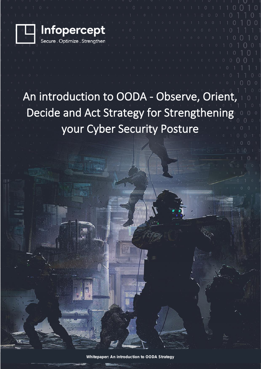

#### An introduction to OODA - Observe, Orient, Decide and Act Strategy for Strengthening your Cyber Security Posture

 $\bigcap$ 

**Whitepaper: An introduction to OODA Strategy**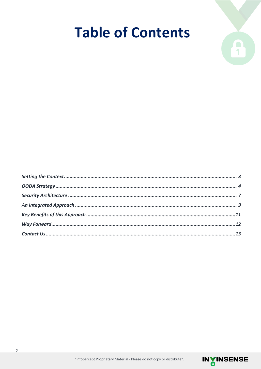## **Table of Contents**



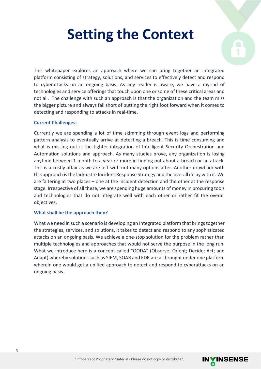## **Setting the Context**



This whitepaper explores an approach where we can bring together an integrated platform consisting of strategy, solutions, and services to effectively detect and respond to cyberattacks on an ongoing basis. As any reader is aware, we have a myriad of technologies and service offerings that touch upon one or some of these critical areas and not all. The challenge with such an approach is that the organization and the team miss the bigger picture and always fall short of putting the right foot forward when it comes to detecting and responding to attacks in real-time.

#### **Current Challenges:**

Currently we are spending a lot of time skimming through event logs and performing pattern analysis to eventually arrive at detecting a breach. This is time consuming and what is missing out is the tighter integration of Intelligent Security Orchestration and Automation solutions and approach. As many studies prove, any organization is losing anytime between 1 month to a year or more in finding out about a breach or an attack. This is a costly affair as we are left with not many options after. Another drawback with this approach is the lacklustre Incident Response Strategy and the overall delay with it. We are faltering at two places – one at the incident detection and the other at the response stage. Irrespective of all these, we are spending huge amounts of money in procuring tools and technologies that do not integrate well with each other or rather fit the overall objectives.

#### **What shall be the approach then?**

What we need in such a scenario is developing an Integrated platform that brings together the strategies, services, and solutions, it takes to detect and respond to any sophisticated attacks on an ongoing basis. We achieve a one-stop solution for the problem rather than multiple technologies and approaches that would not serve the purpose in the long run. What we introduce here is a concept called "OODA" (Observe; Orient; Decide; Act; and Adapt) whereby solutions such as SIEM, SOAR and EDR are all brought under one platform wherein one would get a unified approach to detect and respond to cyberattacks on an ongoing basis.

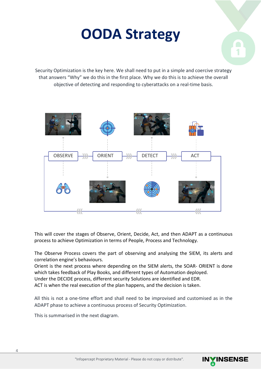### **OODA Strategy**



Security Optimization is the key here. We shall need to put in a simple and coercive strategy that answers "Why" we do this in the first place. Why we do this is to achieve the overall objective of detecting and responding to cyberattacks on a real-time basis.



This will cover the stages of Observe, Orient, Decide, Act, and then ADAPT as a continuous process to achieve Optimization in terms of People, Process and Technology.

The Observe Process covers the part of observing and analysing the SIEM, its alerts and correlation engine's behaviours.

Orient is the next process where depending on the SIEM alerts, the SOAR- ORIENT is done which takes feedback of Play Books, and different types of Automation deployed.

Under the DECIDE process, different security Solutions are identified and EDR.

ACT is when the real execution of the plan happens, and the decision is taken.

All this is not a one-time effort and shall need to be improvised and customised as in the ADAPT phase to achieve a continuous process of Security Optimization.

This is summarised in the next diagram.

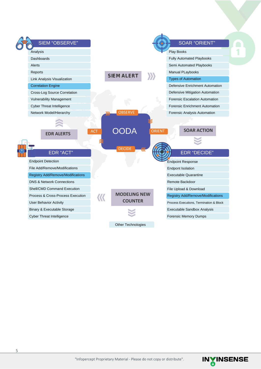| <b>SIEM "OBSERVE"</b>                    |                              | <b>SOAR "ORIENT"</b>                    |
|------------------------------------------|------------------------------|-----------------------------------------|
| Analysis                                 |                              | Play Books                              |
| Dashboards                               |                              | <b>Fully Automated Playbooks</b>        |
| Alerts                                   |                              | Semi Automated Playbooks                |
| Reports                                  | <b>SIEM ALERT</b>            | Manual PLaybooks                        |
| Link Analysis Visualization              |                              | <b>Types of Automation</b>              |
| <b>Correlation Engine</b>                |                              | Defensive Enrichment Automation         |
| Cross-Log Source Correlation             |                              | Defensive Mitigation Automation         |
| <b>Vulnerability Management</b>          |                              | <b>Forensic Escalation Automation</b>   |
| <b>Cyber Threat Intelligence</b>         |                              | <b>Forensic Enrichment Automation</b>   |
| Network Model/Hierarchy                  | <b>OBSERVE</b><br>M          | Forensic Analysis Automation            |
|                                          |                              |                                         |
| <b>EDR ALERTS</b>                        | OODA<br><b>ACT</b>           | <b>SOAR ACTION</b><br><b>ORIENT</b>     |
|                                          |                              |                                         |
|                                          | <b>DECIDE</b>                |                                         |
| <b>EDR "ACT"</b>                         |                              | <b>EDR "DECIDE"</b>                     |
| <b>Endpoint Detection</b>                | <b>Endpoint Response</b>     |                                         |
| File Add/Remove/Modifications            | <b>Endpont Isolation</b>     |                                         |
| <b>Registry Add/Remove/Modifications</b> | <b>Executable Quarantine</b> |                                         |
| <b>DNS &amp; Network Connections</b>     | Remote Backdoor              |                                         |
| <b>Shell/CMD Command Execution</b>       | File Upload & Download       |                                         |
| Process & Cross-Process Execution        | <b>MODELING NEW</b><br>K     | Registry Add/Remove/Modifications       |
| <b>User Behavior Activity</b>            | <b>COUNTER</b>               | Process Executions, Termination & Block |
| Binary & Executable Storage              |                              | Executable Sandbox Analysis             |
| <b>Cyber Threat Intelligence</b>         |                              | <b>Forensic Memory Dumps</b>            |
|                                          | <b>Other Technologies</b>    |                                         |

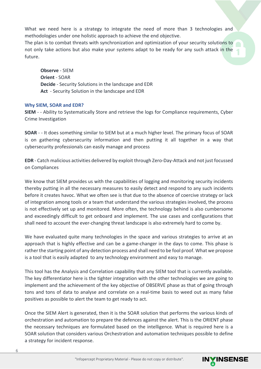What we need here is a strategy to integrate the need of more than 3 technologies and methodologies under one holistic approach to achieve the end objective.

The plan is to combat threats with synchronization and optimization of your security solutions to not only take actions but also make your systems adapt to be ready for any such attack in the future.

**Observe** - SIEM **Orient** - SOAR **Decide** - Security Solutions in the landscape and EDR **Act** - Security Solution in the landscape and EDR

#### **Why SIEM, SOAR and EDR?**

**SIEM** - - Ability to Systematically Store and retrieve the logs for Compliance requirements, Cyber Crime Investigation

**SOAR** - - It does something similar to SIEM but at a much higher level. The primary focus of SOAR is on gathering cybersecurity information and then putting it all together in a way that cybersecurity professionals can easily manage and process

**EDR** - Catch malicious activities delivered by exploit through Zero-Day-Attack and not just focussed on Compliances

We know that SIEM provides us with the capabilities of logging and monitoring security incidents thereby putting in all the necessary measures to easily detect and respond to any such incidents before it creates havoc. What we often see is that due to the absence of coercive strategy or lack of integration among tools or a team that understand the various strategies involved, the process is not effectively set up and monitored. More often, the technology behind is also cumbersome and exceedingly difficult to get onboard and implement. The use cases and configurations that shall need to account the ever-changing threat landscape is also extremely hard to come by.

We have evaluated quite many technologies in the space and various strategies to arrive at an approach that is highly effective and can be a game-changer in the days to come. This phase is rather the starting point of any detection process and shall need to be fool proof. What we propose is a tool that is easily adapted to any technology environment and easy to manage.

This tool has the Analysis and Correlation capability that any SIEM tool that is currently available. The key differentiator here is the tighter integration with the other technologies we are going to implement and the achievement of the key objective of OBSERVE phase as that of going through tons and tons of data to analyse and correlate on a real-time basis to weed out as many false positives as possible to alert the team to get ready to act.

Once the SIEM Alert is generated, then it is the SOAR solution that performs the various kinds of orchestration and automation to prepare the defences against the alert. This is the ORIENT phase the necessary techniques are formulated based on the intelligence. What is required here is a SOAR solution that considers various Orchestration and automation techniques possible to define a strategy for incident response.

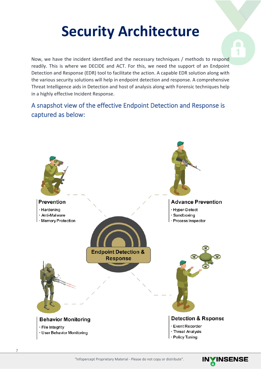### **Security Architecture**

Now, we have the incident identified and the necessary techniques / methods to respond readily. This is where we DECIDE and ACT. For this, we need the support of an Endpoint Detection and Response (EDR) tool to facilitate the action. A capable EDR solution along with the various security solutions will help in endpoint detection and response. A comprehensive Threat Intelligence aids in Detection and host of analysis along with Forensic techniques help in a highly effective Incident Response.

#### A snapshot view of the effective Endpoint Detection and Response is captured as below:



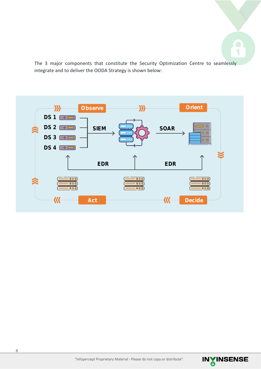

The 3 major components that constitute the Security Optimization Centre to seamlessly integrate and to deliver the OODA Strategy is shown below:



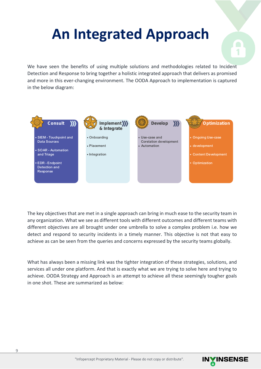## **An Integrated Approach**



We have seen the benefits of using multiple solutions and methodologies related to Incident Detection and Response to bring together a holistic integrated approach that delivers as promised and more in this ever-changing environment. The OODA Approach to implementation is captured in the below diagram:



The key objectives that are met in a single approach can bring in much ease to the security team in any organization. What we see as different tools with different outcomes and different teams with different objectives are all brought under one umbrella to solve a complex problem i.e. how we detect and respond to security incidents in a timely manner. This objective is not that easy to achieve as can be seen from the queries and concerns expressed by the security teams globally.

What has always been a missing link was the tighter integration of these strategies, solutions, and services all under one platform. And that is exactly what we are trying to solve here and trying to achieve. OODA Strategy and Approach is an attempt to achieve all these seemingly tougher goals in one shot. These are summarized as below:

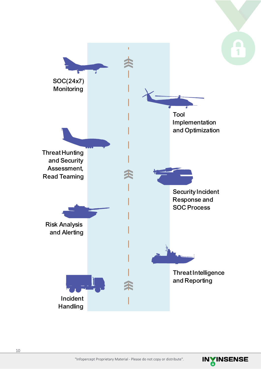

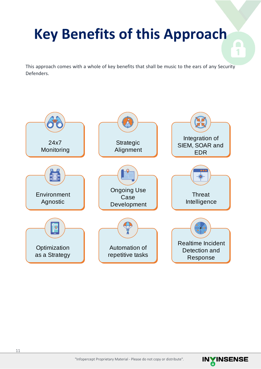# **Key Benefits of this Approach**

This approach comes with a whole of key benefits that shall be music to the ears of any Security Defenders.





1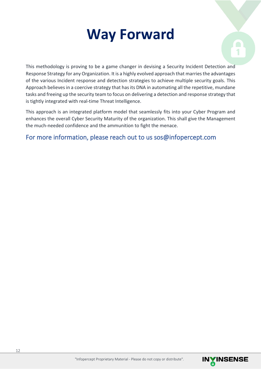### **Way Forward**



This methodology is proving to be a game changer in devising a Security Incident Detection and Response Strategy for any Organization. It is a highly evolved approach that marries the advantages of the various Incident response and detection strategies to achieve multiple security goals. This Approach believes in a coercive strategy that has its DNA in automating all the repetitive, mundane tasks and freeing up the security team to focus on delivering a detection and response strategy that is tightly integrated with real-time Threat Intelligence.

This approach is an integrated platform model that seamlessly fits into your Cyber Program and enhances the overall Cyber Security Maturity of the organization. This shall give the Management the much-needed confidence and the ammunition to fight the menace.

For more information, please reach out to us sos@infopercept.com